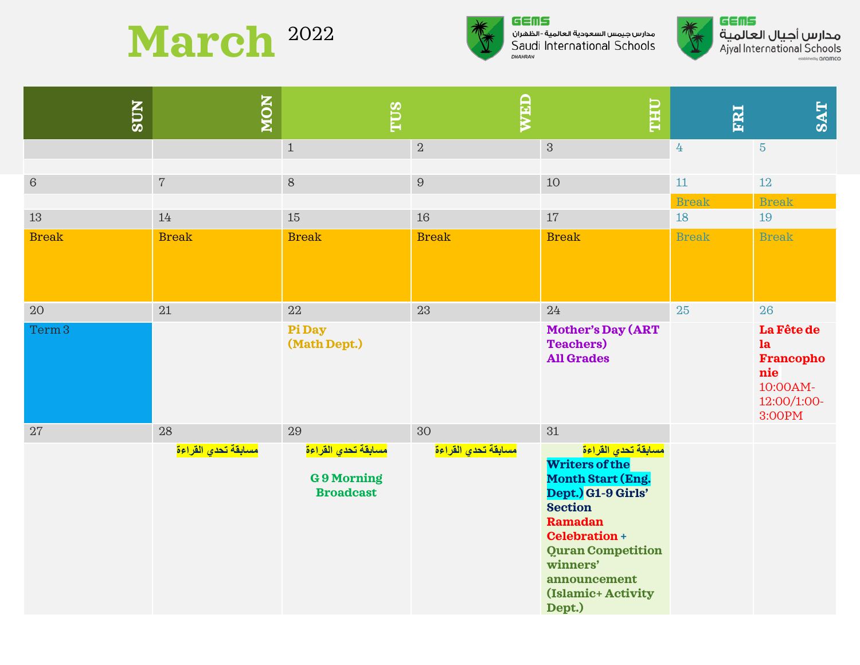## March <sup>2022</sup>



## GEMS مدارس جيمس السعودية العالمية - الظهران Saudi International Schools DHAHRAN



م**دارس أجيال العالمية**<br>Ajyal International Schools **Sished by Oromco** 

| <b>SUN</b>              | NON                       | TUS                                                                             | WED                       | <b>THU</b>                                                                                                                                                                                                                                                            | FRI                | <b>SAT</b>                                                                             |
|-------------------------|---------------------------|---------------------------------------------------------------------------------|---------------------------|-----------------------------------------------------------------------------------------------------------------------------------------------------------------------------------------------------------------------------------------------------------------------|--------------------|----------------------------------------------------------------------------------------|
|                         |                           | $\mathbf{1}$                                                                    | $\,2$                     | $\sqrt{3}$                                                                                                                                                                                                                                                            | $4\overline{ }$    | $\overline{5}$                                                                         |
| $\,6\,$                 | $\,7$                     | $\,8\,$                                                                         | $\boldsymbol{9}$          | 10                                                                                                                                                                                                                                                                    | $11\,$             | 12                                                                                     |
| 13                      | $14\,$                    | 15                                                                              | 16                        | 17                                                                                                                                                                                                                                                                    | <b>Break</b><br>18 | <b>Break</b><br>19                                                                     |
| <b>Break</b>            | <b>Break</b>              | <b>Break</b>                                                                    | <b>Break</b>              | <b>Break</b>                                                                                                                                                                                                                                                          | <b>Break</b>       | <b>Break</b>                                                                           |
| 20<br>Term <sub>3</sub> | 21                        | 22<br>Pi Day<br>(Math Dept.)                                                    | 23                        | 24<br><b>Mother's Day (ART</b><br><b>Teachers</b> )<br><b>All Grades</b>                                                                                                                                                                                              | 25                 | 26<br>La Fête de<br>la<br><b>Francopho</b><br>nie<br>10:00AM-<br>12:00/1:00-<br>3:00PM |
| 27                      | 28<br>مسابقة تحدي القراءة | 29<br><mark>مسابقة تحدي القراءة</mark><br><b>G9 Morning</b><br><b>Broadcast</b> | 30<br>مسابقة تحدي القراءة | 31<br><mark>مسابقة تحدي القراءة</mark><br><b>Writers of the</b><br><b>Month Start (Eng.</b><br>Dept.) G1-9 Girls'<br><b>Section</b><br><b>Ramadan</b><br><b>Celebration +</b><br><b>Quran Competition</b><br>winners'<br>announcement<br>(Islamic+ Activity<br>Dept.) |                    |                                                                                        |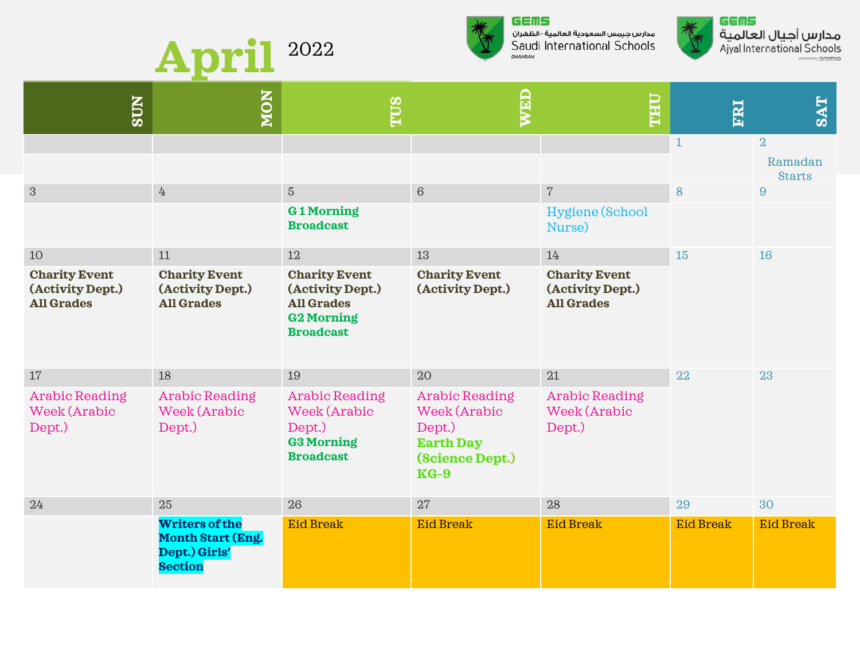



مدارس جيمس السعودية العالمية - الظهران Saudi International Schools DHAHRAN



م**دارس أجيال العالمية**<br>Ajyal International Schools dhii nrnmro

| <b>NOS</b>                                                    | <b>NON</b>                                                                           | TUS                                                                                                    | WED                                                                                              | <b><i><u><b>OHLL</b></u></i></b>                              | FRI              | <b>SAT</b>               |
|---------------------------------------------------------------|--------------------------------------------------------------------------------------|--------------------------------------------------------------------------------------------------------|--------------------------------------------------------------------------------------------------|---------------------------------------------------------------|------------------|--------------------------|
|                                                               |                                                                                      |                                                                                                        |                                                                                                  |                                                               | $\mathbf{1}$     | $\overline{2}$           |
|                                                               |                                                                                      |                                                                                                        |                                                                                                  |                                                               |                  | Ramadan<br><b>Starts</b> |
| $\mathfrak{S}$                                                | $4\overline{ }$                                                                      | $\overline{5}$                                                                                         | $\sqrt{6}$                                                                                       | $\sqrt{ }$                                                    | 8                | 9                        |
|                                                               |                                                                                      | <b>G1Morning</b><br><b>Broadcast</b>                                                                   |                                                                                                  | Hygiene (School<br>Nurse)                                     |                  |                          |
| 10                                                            | 11                                                                                   | 12                                                                                                     | 13                                                                                               | 14                                                            | 15               | 16                       |
| <b>Charity Event</b><br>(Activity Dept.)<br><b>All Grades</b> | <b>Charity Event</b><br>(Activity Dept.)<br><b>All Grades</b>                        | <b>Charity Event</b><br>(Activity Dept.)<br><b>All Grades</b><br><b>G2 Morning</b><br><b>Broadcast</b> | <b>Charity Event</b><br>(Activity Dept.)                                                         | <b>Charity Event</b><br>(Activity Dept.)<br><b>All Grades</b> |                  |                          |
| 17                                                            | 18                                                                                   | 19                                                                                                     | 20                                                                                               | 21                                                            | 22               | 23                       |
| <b>Arabic Reading</b><br>Week (Arabic<br>Dept.)               | <b>Arabic Reading</b><br>Week (Arabic<br>Dept.)                                      | <b>Arabic Reading</b><br>Week (Arabic<br>Dept.)<br><b>G3 Morning</b><br><b>Broadcast</b>               | <b>Arabic Reading</b><br>Week (Arabic<br>Dept.)<br><b>Earth Day</b><br>(Science Dept.)<br>$KG-9$ | <b>Arabic Reading</b><br>Week (Arabic<br>Dept.)               |                  |                          |
| 24                                                            | 25                                                                                   | 26                                                                                                     | 27                                                                                               | 28                                                            | 29               | 30                       |
|                                                               | <b>Writers of the</b><br><b>Month Start (Eng.</b><br>Dept.) Girls'<br><b>Section</b> | <b>Eid Break</b>                                                                                       | <b>Eid Break</b>                                                                                 | <b>Eid Break</b>                                              | <b>Eid Break</b> | <b>Eid Break</b>         |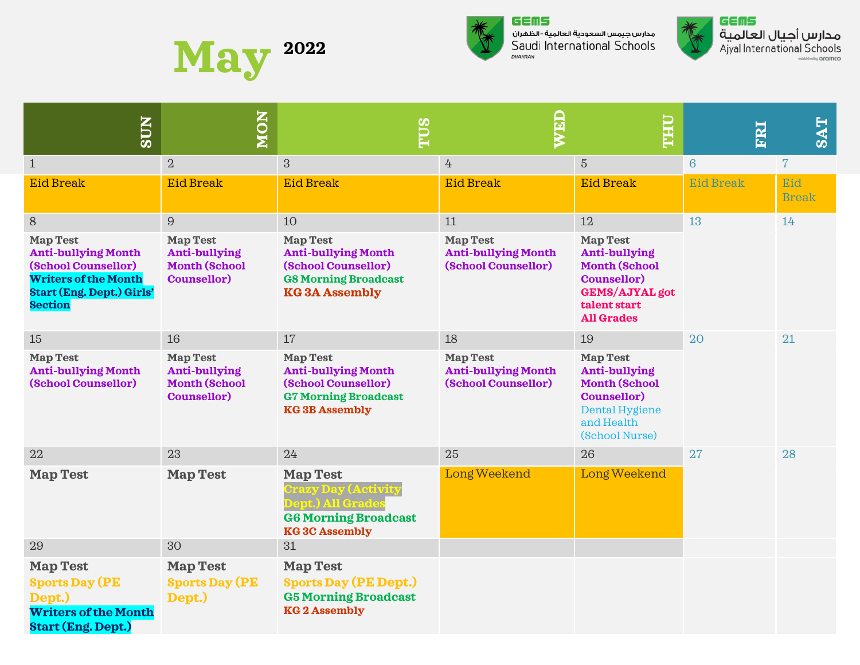



مدارس جيمس السعودية العالمية - الظهران Saudi International Schools DHAHRAN



م**دارس أجيال العالمية**<br>Ajyal International Schools stablished by **aramco** 

| <b>NURS</b>                                                                                                                                               | <b>NON</b>                                                                            | <b>ELLE</b>                                                                                                                      | WED                                                                  | <b>THU</b>                                                                                                                                          | ERI              | <b>SAT</b>          |
|-----------------------------------------------------------------------------------------------------------------------------------------------------------|---------------------------------------------------------------------------------------|----------------------------------------------------------------------------------------------------------------------------------|----------------------------------------------------------------------|-----------------------------------------------------------------------------------------------------------------------------------------------------|------------------|---------------------|
| $\mathbf{1}$                                                                                                                                              | $\overline{2}$                                                                        | 3                                                                                                                                | 4                                                                    | $5\phantom{.}$                                                                                                                                      | $6\overline{6}$  | $7\phantom{.}$      |
| <b>Eid Break</b>                                                                                                                                          | <b>Eid Break</b>                                                                      | <b>Eid Break</b>                                                                                                                 | <b>Eid Break</b>                                                     | <b>Eid Break</b>                                                                                                                                    | <b>Eid Break</b> | Eid<br><b>Break</b> |
| $8\,$                                                                                                                                                     | 9                                                                                     | 10                                                                                                                               | 11                                                                   | 12                                                                                                                                                  | 13               | 14                  |
| <b>Map Test</b><br><b>Anti-bullying Month</b><br>(School Counsellor)<br><b>Writers of the Month</b><br><b>Start (Eng. Dept.) Girls'</b><br><b>Section</b> | <b>Map Test</b><br><b>Anti-bullying</b><br><b>Month (School</b><br><b>Counsellor)</b> | <b>Map Test</b><br><b>Anti-bullying Month</b><br>(School Counsellor)<br><b>G8 Morning Broadcast</b><br><b>KG3A Assembly</b>      | <b>Map Test</b><br><b>Anti-bullying Month</b><br>(School Counsellor) | <b>Map Test</b><br><b>Anti-bullying</b><br><b>Month (School</b><br><b>Counsellor)</b><br><b>GEMS/AJYAL</b> got<br>talent start<br><b>All Grades</b> |                  |                     |
| 15                                                                                                                                                        | 16                                                                                    | 17                                                                                                                               | 18                                                                   | 19                                                                                                                                                  | 20               | 21                  |
| <b>Map Test</b><br><b>Anti-bullying Month</b><br>(School Counsellor)                                                                                      | <b>Map Test</b><br>Anti-bullying<br><b>Month (School</b><br><b>Counsellor)</b>        | <b>Map Test</b><br><b>Anti-bullying Month</b><br>(School Counsellor)<br><b>G7 Morning Broadcast</b><br><b>KG3B Assembly</b>      | <b>Map Test</b><br><b>Anti-bullying Month</b><br>(School Counsellor) | <b>Map Test</b><br><b>Anti-bullying</b><br><b>Month (School</b><br><b>Counsellor)</b><br>Dental Hygiene<br>and Health<br>(School Nurse)             |                  |                     |
| 22                                                                                                                                                        | 23                                                                                    | 24                                                                                                                               | 25                                                                   | 26                                                                                                                                                  | 27               | 28                  |
| <b>Map Test</b>                                                                                                                                           | <b>Map Test</b>                                                                       | <b>Map Test</b><br><b>Crazy Day (Activity</b><br><b>Dept.) All Grades</b><br><b>G6 Morning Broadcast</b><br><b>KG3C Assembly</b> | Long Weekend                                                         | Long Weekend                                                                                                                                        |                  |                     |
| 29                                                                                                                                                        | 30                                                                                    | 31                                                                                                                               |                                                                      |                                                                                                                                                     |                  |                     |
| <b>Map Test</b><br><b>Sports Day (PE</b><br>Dept.)<br><b>Writers of the Month</b><br><b>Start (Eng. Dept.)</b>                                            | <b>Map Test</b><br><b>Sports Day (PE</b><br>Dept.)                                    | <b>Map Test</b><br><b>Sports Day (PE Dept.)</b><br><b>G5 Morning Broadcast</b><br><b>KG2</b> Assembly                            |                                                                      |                                                                                                                                                     |                  |                     |